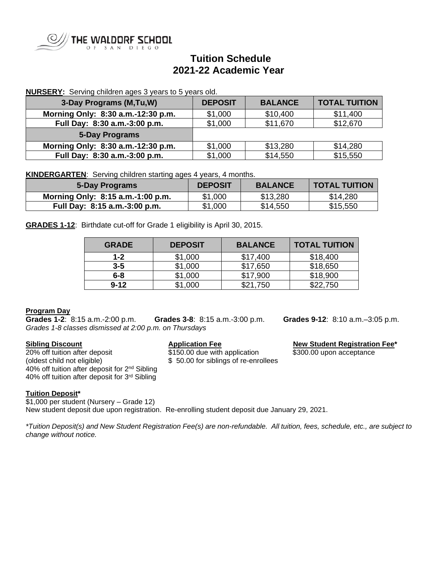

# **Tuition Schedule 2021-22 Academic Year**

## **NURSERY:** Serving children ages 3 years to 5 years old.

| 3-Day Programs (M,Tu,W)            | <b>DEPOSIT</b> | <b>BALANCE</b> | <b>TOTAL TUITION</b> |
|------------------------------------|----------------|----------------|----------------------|
| Morning Only: 8:30 a.m.-12:30 p.m. | \$1,000        | \$10,400       | \$11,400             |
| Full Day: 8:30 a.m.-3:00 p.m.      | \$1,000        | \$11,670       | \$12,670             |
| <b>5-Day Programs</b>              |                |                |                      |
| Morning Only: 8:30 a.m.-12:30 p.m. | \$1,000        | \$13,280       | \$14,280             |
| Full Day: 8:30 a.m.-3:00 p.m.      | \$1,000        | \$14,550       | \$15,550             |

**KINDERGARTEN**: Serving children starting ages 4 years, 4 months.

| 5-Day Programs                    | <b>DEPOSIT</b> | <b>BALANCE</b> | <b>TOTAL TUITION</b> |
|-----------------------------------|----------------|----------------|----------------------|
| Morning Only: 8:15 a.m.-1:00 p.m. | \$1,000        | \$13,280       | \$14,280             |
| Full Day: 8:15 a.m.-3:00 p.m.     | \$1,000        | \$14,550       | \$15,550             |

**GRADES 1-12**: Birthdate cut-off for Grade 1 eligibility is April 30, 2015.

| <b>GRADE</b> | <b>DEPOSIT</b> | <b>BALANCE</b> | <b>TOTAL TUITION</b> |
|--------------|----------------|----------------|----------------------|
| $1 - 2$      | \$1,000        | \$17,400       | \$18,400             |
| $3 - 5$      | \$1,000        | \$17,650       | \$18,650             |
| $6 - 8$      | \$1,000        | \$17,900       | \$18,900             |
| $9 - 12$     | \$1,000        | \$21,750       | \$22,750             |

**Program Day**<br>**Grades 1-2**: 8:15 a.m.-2:00 p.m. **Grades 1-2**:8:15 a.m.-2:00 p.m. **Grades 3-8**:8:15 a.m.-3:00 p.m. **Grades 9-12**: 8:10 a.m.–3:05 p.m. *Grades 1-8 classes dismissed at 2:00 p.m. on Thursdays*

**Sibling Discount**<br>
20% off tuition after deposit<br>
20% off tuition after deposit<br>
3150.00 due with application<br>
3300.00 upon acceptance (oldest child not eligible) \$ 50.00 for siblings of re-enrollees 40% off tuition after deposit for 2<sup>nd</sup> Sibling 40% off tuition after deposit for 3rd Sibling

 $$150.00$  due with application  $$300.00$  upon acceptance

### **Tuition Deposit\***

\$1,000 per student (Nursery – Grade 12) New student deposit due upon registration. Re-enrolling student deposit due January 29, 2021.

*\*Tuition Deposit(s) and New Student Registration Fee(s) are non-refundable. All tuition, fees, schedule, etc., are subject to change without notice.*